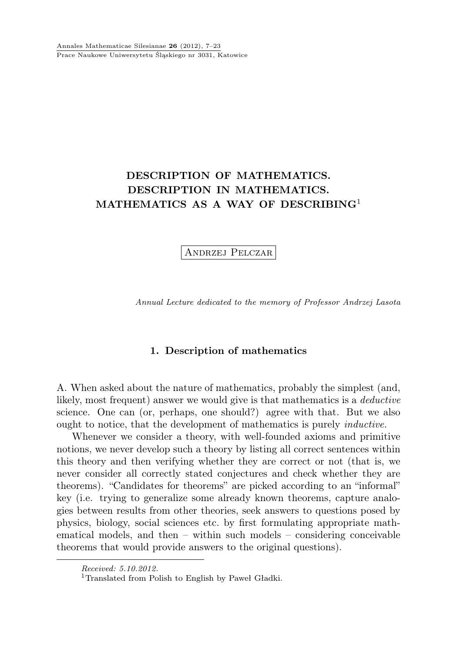# DESCRIPTION OF MATHEMATICS. DESCRIPTION IN MATHEMATICS. MATHEMATICS AS A WAY OF DESCRIBING<sup>1</sup>

Andrzej Pelczar

Annual Lecture dedicated to the memory of Professor Andrzej Lasota

#### 1. Description of mathematics

A. When asked about the nature of mathematics, probably the simplest (and, likely, most frequent) answer we would give is that mathematics is a deductive science. One can (or, perhaps, one should?) agree with that. But we also ought to notice, that the development of mathematics is purely inductive.

Whenever we consider a theory, with well-founded axioms and primitive notions, we never develop such a theory by listing all correct sentences within this theory and then verifying whether they are correct or not (that is, we never consider all correctly stated conjectures and check whether they are theorems). "Candidates for theorems" are picked according to an "informal" key (i.e. trying to generalize some already known theorems, capture analogies between results from other theories, seek answers to questions posed by physics, biology, social sciences etc. by first formulating appropriate mathematical models, and then – within such models – considering conceivable theorems that would provide answers to the original questions).

Received: 5.10.2012.

<sup>&</sup>lt;sup>1</sup>Translated from Polish to English by Paweł Gładki.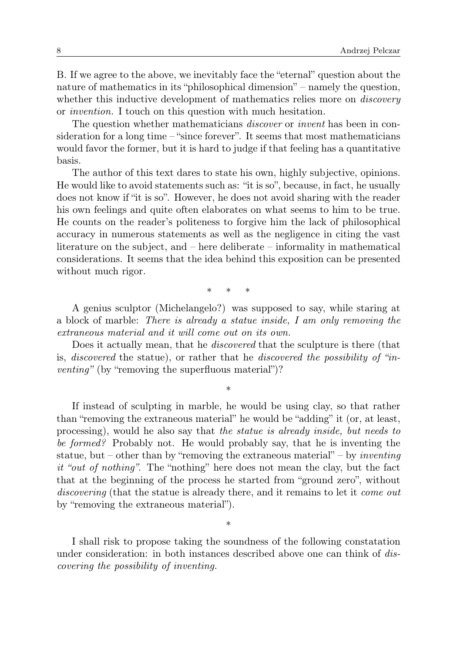B. If we agree to the above, we inevitably face the "eternal" question about the nature of mathematics in its "philosophical dimension" – namely the question, whether this inductive development of mathematics relies more on *discovery* or invention. I touch on this question with much hesitation.

The question whether mathematicians *discover* or *invent* has been in consideration for a long time – "since forever". It seems that most mathematicians would favor the former, but it is hard to judge if that feeling has a quantitative basis.

The author of this text dares to state his own, highly subjective, opinions. He would like to avoid statements such as: "it is so", because, in fact, he usually does not know if "it is so". However, he does not avoid sharing with the reader his own feelings and quite often elaborates on what seems to him to be true. He counts on the reader's politeness to forgive him the lack of philosophical accuracy in numerous statements as well as the negligence in citing the vast literature on the subject, and – here deliberate – informality in mathematical considerations. It seems that the idea behind this exposition can be presented without much rigor.

∗ ∗ ∗

A genius sculptor (Michelangelo?) was supposed to say, while staring at a block of marble: There is already a statue inside, I am only removing the extraneous material and it will come out on its own.

Does it actually mean, that he *discovered* that the sculpture is there (that is, discovered the statue), or rather that he discovered the possibility of "inventing" (by "removing the superfluous material")?

∗

If instead of sculpting in marble, he would be using clay, so that rather than "removing the extraneous material" he would be "adding" it (or, at least, processing), would he also say that the statue is already inside, but needs to be formed? Probably not. He would probably say, that he is inventing the statue, but – other than by "removing the extraneous material" – by *inventing* it "out of nothing". The "nothing" here does not mean the clay, but the fact that at the beginning of the process he started from "ground zero", without discovering (that the statue is already there, and it remains to let it come out by "removing the extraneous material").

I shall risk to propose taking the soundness of the following constatation under consideration: in both instances described above one can think of discovering the possibility of inventing.

∗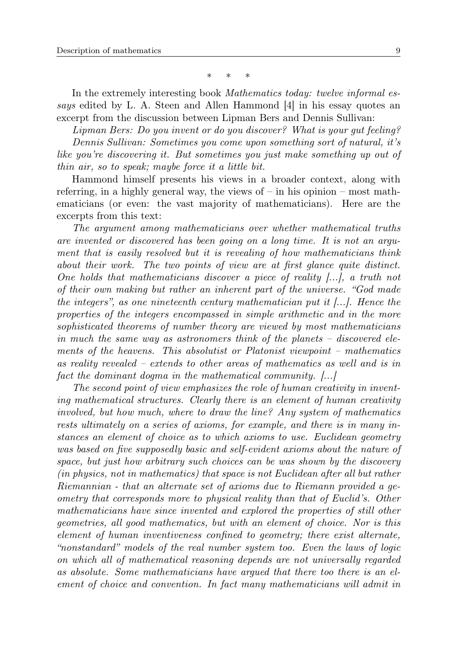∗ ∗ ∗

In the extremely interesting book *Mathematics today: twelve informal es*says edited by L. A. Steen and Allen Hammond [4] in his essay quotes an excerpt from the discussion between Lipman Bers and Dennis Sullivan:

Lipman Bers: Do you invent or do you discover? What is your gut feeling? Dennis Sullivan: Sometimes you come upon something sort of natural, it's like you're discovering it. But sometimes you just make something up out of thin air, so to speak; maybe force it a little bit.

Hammond himself presents his views in a broader context, along with referring, in a highly general way, the views of – in his opinion – most mathematicians (or even: the vast majority of mathematicians). Here are the excerpts from this text:

The argument among mathematicians over whether mathematical truths are invented or discovered has been going on a long time. It is not an argument that is easily resolved but it is revealing of how mathematicians think about their work. The two points of view are at first glance quite distinct. One holds that mathematicians discover a piece of reality [...], a truth not of their own making but rather an inherent part of the universe. "God made the integers", as one nineteenth century mathematician put it  $[\ldots]$ . Hence the properties of the integers encompassed in simple arithmetic and in the more sophisticated theorems of number theory are viewed by most mathematicians in much the same way as astronomers think of the planets – discovered elements of the heavens. This absolutist or Platonist viewpoint – mathematics as reality revealed – extends to other areas of mathematics as well and is in fact the dominant dogma in the mathematical community. [...]

The second point of view emphasizes the role of human creativity in inventing mathematical structures. Clearly there is an element of human creativity involved, but how much, where to draw the line? Any system of mathematics rests ultimately on a series of axioms, for example, and there is in many instances an element of choice as to which axioms to use. Euclidean geometry was based on five supposedly basic and self-evident axioms about the nature of space, but just how arbitrary such choices can be was shown by the discovery (in physics, not in mathematics) that space is not Euclidean after all but rather Riemannian - that an alternate set of axioms due to Riemann provided a geometry that corresponds more to physical reality than that of Euclid's. Other mathematicians have since invented and explored the properties of still other geometries, all good mathematics, but with an element of choice. Nor is this element of human inventiveness confined to geometry; there exist alternate, "nonstandard" models of the real number system too. Even the laws of logic on which all of mathematical reasoning depends are not universally regarded as absolute. Some mathematicians have argued that there too there is an element of choice and convention. In fact many mathematicians will admit in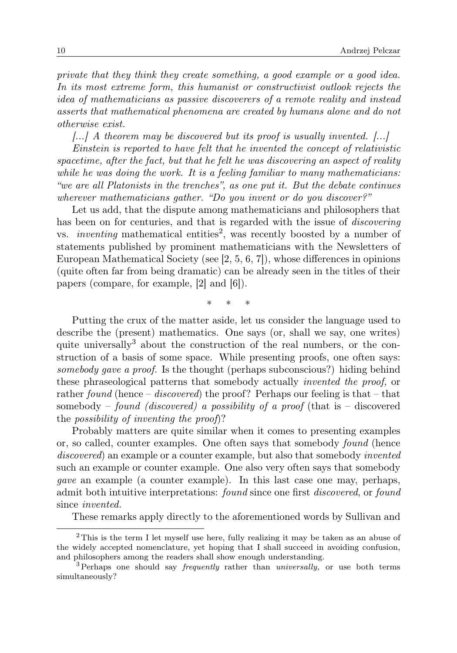private that they think they create something, a good example or a good idea. In its most extreme form, this humanist or constructivist outlook rejects the idea of mathematicians as passive discoverers of a remote reality and instead asserts that mathematical phenomena are created by humans alone and do not otherwise exist.

[...] A theorem may be discovered but its proof is usually invented. [...]

Einstein is reported to have felt that he invented the concept of relativistic spacetime, after the fact, but that he felt he was discovering an aspect of reality while he was doing the work. It is a feeling familiar to many mathematicians: "we are all Platonists in the trenches", as one put it. But the debate continues wherever mathematicians gather. "Do you invent or do you discover?"

Let us add, that the dispute among mathematicians and philosophers that has been on for centuries, and that is regarded with the issue of *discovering* vs. *inventing* mathematical entities<sup>2</sup>, was recently boosted by a number of statements published by prominent mathematicians with the Newsletters of European Mathematical Society (see [2, 5, 6, 7]), whose differences in opinions (quite often far from being dramatic) can be already seen in the titles of their papers (compare, for example, [2] and [6]).

∗ ∗ ∗

Putting the crux of the matter aside, let us consider the language used to describe the (present) mathematics. One says (or, shall we say, one writes) quite universally<sup>3</sup> about the construction of the real numbers, or the construction of a basis of some space. While presenting proofs, one often says: somebody gave a proof. Is the thought (perhaps subconscious?) hiding behind these phraseological patterns that somebody actually invented the proof, or rather found (hence – discovered) the proof? Perhaps our feeling is that – that somebody – found (discovered) a possibility of a proof (that is – discovered the possibility of inventing the proof)?

Probably matters are quite similar when it comes to presenting examples or, so called, counter examples. One often says that somebody found (hence discovered) an example or a counter example, but also that somebody *invented* such an example or counter example. One also very often says that somebody gave an example (a counter example). In this last case one may, perhaps, admit both intuitive interpretations: found since one first discovered, or found since invented.

These remarks apply directly to the aforementioned words by Sullivan and

<sup>&</sup>lt;sup>2</sup>This is the term I let myself use here, fully realizing it may be taken as an abuse of the widely accepted nomenclature, yet hoping that I shall succeed in avoiding confusion, and philosophers among the readers shall show enough understanding.

 $3$  Perhaps one should say *frequently* rather than *universally*, or use both terms simultaneously?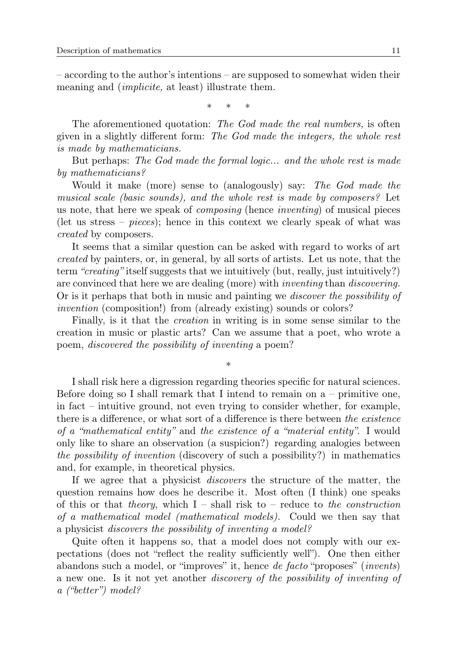– according to the author's intentions – are supposed to somewhat widen their meaning and *(implicite,* at least) illustrate them.

∗ ∗ ∗

The aforementioned quotation: The God made the real numbers, is often given in a slightly different form: The God made the integers, the whole rest is made by mathematicians.

But perhaps: The God made the formal logic... and the whole rest is made by mathematicians?

Would it make (more) sense to (analogously) say: The God made the musical scale (basic sounds), and the whole rest is made by composers? Let us note, that here we speak of composing (hence inventing) of musical pieces (let us stress – *pieces*); hence in this context we clearly speak of what was created by composers.

It seems that a similar question can be asked with regard to works of art created by painters, or, in general, by all sorts of artists. Let us note, that the term "creating" itself suggests that we intuitively (but, really, just intuitively?) are convinced that here we are dealing (more) with inventing than discovering. Or is it perhaps that both in music and painting we discover the possibility of invention (composition!) from (already existing) sounds or colors?

Finally, is it that the creation in writing is in some sense similar to the creation in music or plastic arts? Can we assume that a poet, who wrote a poem, discovered the possibility of inventing a poem?

∗

I shall risk here a digression regarding theories specific for natural sciences. Before doing so I shall remark that I intend to remain on  $a$  – primitive one, in fact – intuitive ground, not even trying to consider whether, for example, there is a difference, or what sort of a difference is there between the existence of a "mathematical entity" and the existence of a "material entity". I would only like to share an observation (a suspicion?) regarding analogies between the possibility of invention (discovery of such a possibility?) in mathematics and, for example, in theoretical physics.

If we agree that a physicist discovers the structure of the matter, the question remains how does he describe it. Most often (I think) one speaks of this or that theory, which  $I$  – shall risk to – reduce to the construction of a mathematical model (mathematical models). Could we then say that a physicist discovers the possibility of inventing a model?

Quite often it happens so, that a model does not comply with our expectations (does not "reflect the reality sufficiently well"). One then either abandons such a model, or "improves" it, hence de facto "proposes" (invents) a new one. Is it not yet another discovery of the possibility of inventing of a ("better") model?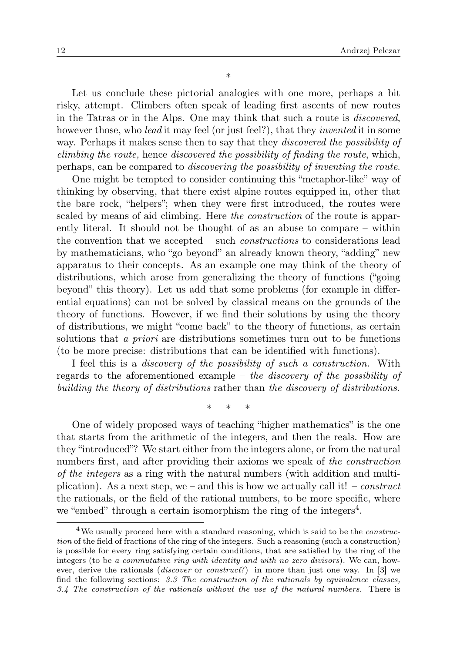∗

Let us conclude these pictorial analogies with one more, perhaps a bit risky, attempt. Climbers often speak of leading first ascents of new routes in the Tatras or in the Alps. One may think that such a route is discovered, however those, who *lead* it may feel (or just feel?), that they *invented* it in some way. Perhaps it makes sense then to say that they *discovered the possibility of* climbing the route, hence discovered the possibility of finding the route, which, perhaps, can be compared to discovering the possibility of inventing the route.

One might be tempted to consider continuing this "metaphor-like" way of thinking by observing, that there exist alpine routes equipped in, other that the bare rock, "helpers"; when they were first introduced, the routes were scaled by means of aid climbing. Here the construction of the route is apparently literal. It should not be thought of as an abuse to compare – within the convention that we accepted – such constructions to considerations lead by mathematicians, who "go beyond" an already known theory, "adding" new apparatus to their concepts. As an example one may think of the theory of distributions, which arose from generalizing the theory of functions ("going beyond" this theory). Let us add that some problems (for example in differential equations) can not be solved by classical means on the grounds of the theory of functions. However, if we find their solutions by using the theory of distributions, we might "come back" to the theory of functions, as certain solutions that a priori are distributions sometimes turn out to be functions (to be more precise: distributions that can be identified with functions).

I feel this is a discovery of the possibility of such a construction. With regards to the aforementioned example – the discovery of the possibility of building the theory of distributions rather than the discovery of distributions.

∗ ∗ ∗

One of widely proposed ways of teaching "higher mathematics" is the one that starts from the arithmetic of the integers, and then the reals. How are they "introduced"? We start either from the integers alone, or from the natural numbers first, and after providing their axioms we speak of the construction of the integers as a ring with the natural numbers (with addition and multiplication). As a next step, we – and this is how we actually call it! – construct the rationals, or the field of the rational numbers, to be more specific, where we "embed" through a certain isomorphism the ring of the integers<sup>4</sup>.

<sup>&</sup>lt;sup>4</sup>We usually proceed here with a standard reasoning, which is said to be the *construc*tion of the field of fractions of the ring of the integers. Such a reasoning (such a construction) is possible for every ring satisfying certain conditions, that are satisfied by the ring of the integers (to be a commutative ring with identity and with no zero divisors). We can, however, derive the rationals (discover or construct?) in more than just one way. In [3] we find the following sections: 3.3 The construction of the rationals by equivalence classes, 3.4 The construction of the rationals without the use of the natural numbers. There is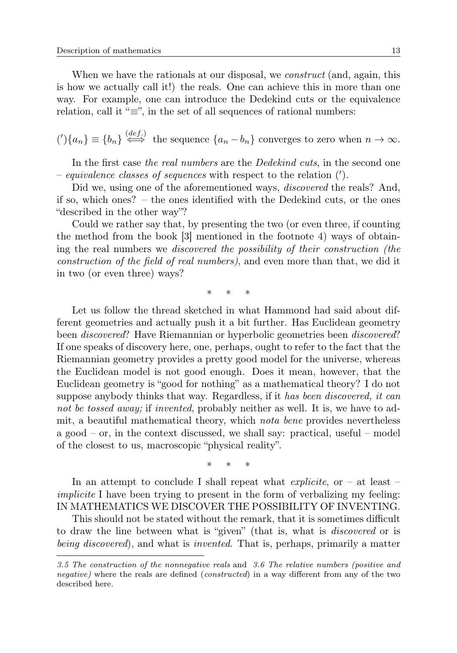When we have the rationals at our disposal, we *construct* (and, again, this is how we actually call it!) the reals. One can achieve this in more than one way. For example, one can introduce the Dedekind cuts or the equivalence relation, call it " $\equiv$ ", in the set of all sequences of rational numbers:

 $\binom{n}{k} \equiv \{b_n\} \stackrel{(def.)}{\iff}$  the sequence  $\{a_n - b_n\}$  converges to zero when  $n \to \infty$ .

In the first case the real numbers are the Dedekind cuts, in the second one  $-$  equivalence classes of sequences with respect to the relation  $(').$ 

Did we, using one of the aforementioned ways, *discovered* the reals? And, if so, which ones? – the ones identified with the Dedekind cuts, or the ones "described in the other way"?

Could we rather say that, by presenting the two (or even three, if counting the method from the book [3] mentioned in the footnote 4) ways of obtaining the real numbers we discovered the possibility of their construction (the construction of the field of real numbers), and even more than that, we did it in two (or even three) ways?

∗ ∗ ∗

Let us follow the thread sketched in what Hammond had said about different geometries and actually push it a bit further. Has Euclidean geometry been discovered? Have Riemannian or hyperbolic geometries been discovered? If one speaks of discovery here, one, perhaps, ought to refer to the fact that the Riemannian geometry provides a pretty good model for the universe, whereas the Euclidean model is not good enough. Does it mean, however, that the Euclidean geometry is "good for nothing" as a mathematical theory? I do not suppose anybody thinks that way. Regardless, if it has been discovered, it can not be tossed away; if invented, probably neither as well. It is, we have to admit, a beautiful mathematical theory, which nota bene provides nevertheless a good – or, in the context discussed, we shall say: practical, useful – model of the closest to us, macroscopic "physical reality".

∗ ∗ ∗

In an attempt to conclude I shall repeat what *explicite*, or  $-$  at least  $$ implicite I have been trying to present in the form of verbalizing my feeling: IN MATHEMATICS WE DISCOVER THE POSSIBILITY OF INVENTING.

This should not be stated without the remark, that it is sometimes difficult to draw the line between what is "given" (that is, what is discovered or is being discovered), and what is invented. That is, perhaps, primarily a matter

<sup>3.5</sup> The construction of the nonnegative reals and 3.6 The relative numbers (positive and negative) where the reals are defined (*constructed*) in a way different from any of the two described here.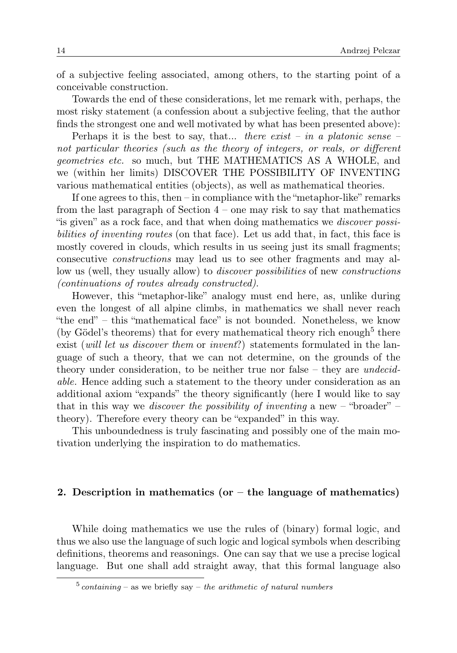of a subjective feeling associated, among others, to the starting point of a conceivable construction.

Towards the end of these considerations, let me remark with, perhaps, the most risky statement (a confession about a subjective feeling, that the author finds the strongest one and well motivated by what has been presented above):

Perhaps it is the best to say, that... there exist – in a platonic sense – not particular theories (such as the theory of integers, or reals, or different geometries etc. so much, but THE MATHEMATICS AS A WHOLE, and we (within her limits) DISCOVER THE POSSIBILITY OF INVENTING various mathematical entities (objects), as well as mathematical theories.

If one agrees to this, then – in compliance with the "metaphor-like" remarks from the last paragraph of Section 4 – one may risk to say that mathematics "is given" as a rock face, and that when doing mathematics we discover possibilities of inventing routes (on that face). Let us add that, in fact, this face is mostly covered in clouds, which results in us seeing just its small fragments; consecutive constructions may lead us to see other fragments and may allow us (well, they usually allow) to *discover possibilities* of new *constructions* (continuations of routes already constructed).

However, this "metaphor-like" analogy must end here, as, unlike during even the longest of all alpine climbs, in mathematics we shall never reach "the end" – this "mathematical face" is not bounded. Nonetheless, we know (by Gödel's theorems) that for every mathematical theory rich enough<sup>5</sup> there exist (will let us discover them or invent?) statements formulated in the language of such a theory, that we can not determine, on the grounds of the theory under consideration, to be neither true nor false – they are *undecid*able. Hence adding such a statement to the theory under consideration as an additional axiom "expands" the theory significantly (here I would like to say that in this way we *discover the possibility of inventing* a new – "broader" – theory). Therefore every theory can be "expanded" in this way.

This unboundedness is truly fascinating and possibly one of the main motivation underlying the inspiration to do mathematics.

### 2. Description in mathematics (or  $-$  the language of mathematics)

While doing mathematics we use the rules of (binary) formal logic, and thus we also use the language of such logic and logical symbols when describing definitions, theorems and reasonings. One can say that we use a precise logical language. But one shall add straight away, that this formal language also

 $5$  containing – as we briefly say – the arithmetic of natural numbers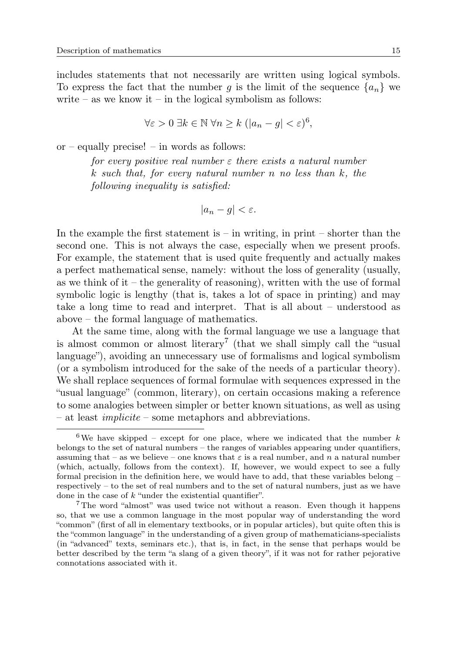includes statements that not necessarily are written using logical symbols. To express the fact that the number q is the limit of the sequence  $\{a_n\}$  we write – as we know it – in the logical symbolism as follows:

$$
\forall \varepsilon > 0 \; \exists k \in \mathbb{N} \; \forall n \ge k \; (|a_n - g| < \varepsilon)^6,
$$

or – equally precise! – in words as follows:

for every positive real number  $\varepsilon$  there exists a natural number k such that, for every natural number n no less than k, the following inequality is satisfied:

$$
|a_n - g| < \varepsilon.
$$

In the example the first statement is  $-$  in writing, in print  $-$  shorter than the second one. This is not always the case, especially when we present proofs. For example, the statement that is used quite frequently and actually makes a perfect mathematical sense, namely: without the loss of generality (usually, as we think of it – the generality of reasoning), written with the use of formal symbolic logic is lengthy (that is, takes a lot of space in printing) and may take a long time to read and interpret. That is all about – understood as above – the formal language of mathematics.

At the same time, along with the formal language we use a language that is almost common or almost literary<sup>7</sup> (that we shall simply call the "usual language"), avoiding an unnecessary use of formalisms and logical symbolism (or a symbolism introduced for the sake of the needs of a particular theory). We shall replace sequences of formal formulae with sequences expressed in the "usual language" (common, literary), on certain occasions making a reference to some analogies between simpler or better known situations, as well as using – at least implicite – some metaphors and abbreviations.

 $6$ We have skipped – except for one place, where we indicated that the number k belongs to the set of natural numbers – the ranges of variables appearing under quantifiers, assuming that – as we believe – one knows that  $\varepsilon$  is a real number, and n a natural number (which, actually, follows from the context). If, however, we would expect to see a fully formal precision in the definition here, we would have to add, that these variables belong – respectively – to the set of real numbers and to the set of natural numbers, just as we have done in the case of k "under the existential quantifier".

<sup>7</sup>The word "almost" was used twice not without a reason. Even though it happens so, that we use a common language in the most popular way of understanding the word "common" (first of all in elementary textbooks, or in popular articles), but quite often this is the "common language" in the understanding of a given group of mathematicians-specialists (in "advanced" texts, seminars etc.), that is, in fact, in the sense that perhaps would be better described by the term "a slang of a given theory", if it was not for rather pejorative connotations associated with it.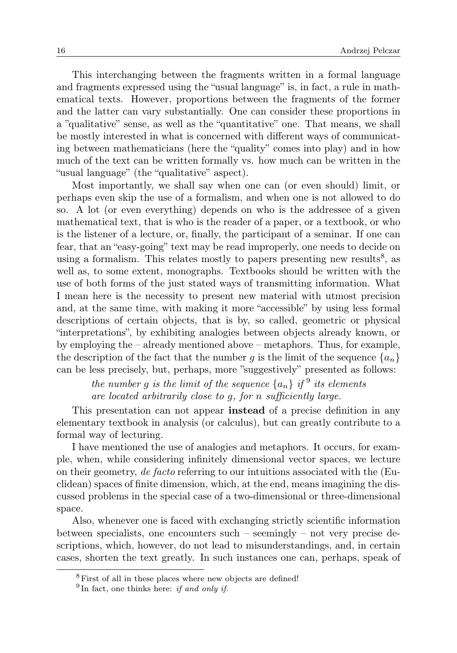This interchanging between the fragments written in a formal language and fragments expressed using the "usual language" is, in fact, a rule in mathematical texts. However, proportions between the fragments of the former and the latter can vary substantially. One can consider these proportions in a "qualitative" sense, as well as the "quantitative" one. That means, we shall be mostly interested in what is concerned with different ways of communicating between mathematicians (here the "quality" comes into play) and in how much of the text can be written formally vs. how much can be written in the "usual language" (the "qualitative" aspect).

Most importantly, we shall say when one can (or even should) limit, or perhaps even skip the use of a formalism, and when one is not allowed to do so. A lot (or even everything) depends on who is the addressee of a given mathematical text, that is who is the reader of a paper, or a textbook, or who is the listener of a lecture, or, finally, the participant of a seminar. If one can fear, that an "easy-going" text may be read improperly, one needs to decide on using a formalism. This relates mostly to papers presenting new results<sup>8</sup>, as well as, to some extent, monographs. Textbooks should be written with the use of both forms of the just stated ways of transmitting information. What I mean here is the necessity to present new material with utmost precision and, at the same time, with making it more "accessible" by using less formal descriptions of certain objects, that is by, so called, geometric or physical "interpretations", by exhibiting analogies between objects already known, or by employing the – already mentioned above – metaphors. Thus, for example, the description of the fact that the number g is the limit of the sequence  $\{a_n\}$ can be less precisely, but, perhaps, more "suggestively" presented as follows:

> the number g is the limit of the sequence  $\{a_n\}$  if <sup>9</sup> its elements are located arbitrarily close to g, for n sufficiently large.

This presentation can not appear instead of a precise definition in any elementary textbook in analysis (or calculus), but can greatly contribute to a formal way of lecturing.

I have mentioned the use of analogies and metaphors. It occurs, for example, when, while considering infinitely dimensional vector spaces, we lecture on their geometry, de facto referring to our intuitions associated with the (Euclidean) spaces of finite dimension, which, at the end, means imagining the discussed problems in the special case of a two-dimensional or three-dimensional space.

Also, whenever one is faced with exchanging strictly scientific information between specialists, one encounters such – seemingly – not very precise descriptions, which, however, do not lead to misunderstandings, and, in certain cases, shorten the text greatly. In such instances one can, perhaps, speak of

<sup>&</sup>lt;sup>8</sup> First of all in these places where new objects are defined!

 $9$ In fact, one thinks here: if and only if.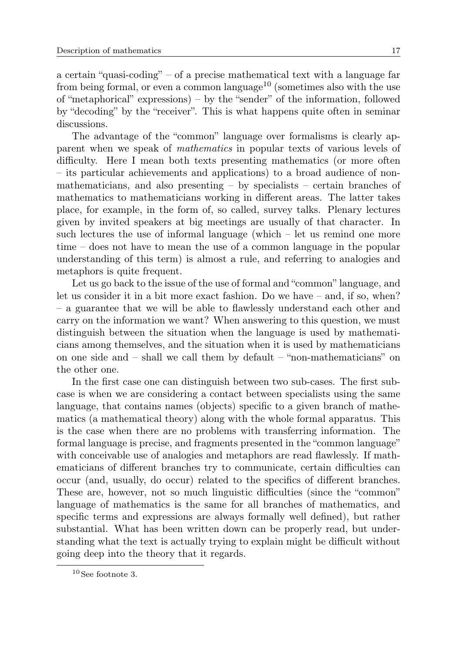a certain "quasi-coding" – of a precise mathematical text with a language far from being formal, or even a common language<sup>10</sup> (sometimes also with the use of "metaphorical" expressions) – by the "sender" of the information, followed by "decoding" by the "receiver". This is what happens quite often in seminar discussions.

The advantage of the "common" language over formalisms is clearly apparent when we speak of mathematics in popular texts of various levels of difficulty. Here I mean both texts presenting mathematics (or more often – its particular achievements and applications) to a broad audience of nonmathematicians, and also presenting  $-$  by specialists  $-$  certain branches of mathematics to mathematicians working in different areas. The latter takes place, for example, in the form of, so called, survey talks. Plenary lectures given by invited speakers at big meetings are usually of that character. In such lectures the use of informal language (which – let us remind one more time – does not have to mean the use of a common language in the popular understanding of this term) is almost a rule, and referring to analogies and metaphors is quite frequent.

Let us go back to the issue of the use of formal and "common" language, and let us consider it in a bit more exact fashion. Do we have – and, if so, when? – a guarantee that we will be able to flawlessly understand each other and carry on the information we want? When answering to this question, we must distinguish between the situation when the language is used by mathematicians among themselves, and the situation when it is used by mathematicians on one side and – shall we call them by default – "non-mathematicians" on the other one.

In the first case one can distinguish between two sub-cases. The first subcase is when we are considering a contact between specialists using the same language, that contains names (objects) specific to a given branch of mathematics (a mathematical theory) along with the whole formal apparatus. This is the case when there are no problems with transferring information. The formal language is precise, and fragments presented in the "common language" with conceivable use of analogies and metaphors are read flawlessly. If mathematicians of different branches try to communicate, certain difficulties can occur (and, usually, do occur) related to the specifics of different branches. These are, however, not so much linguistic difficulties (since the "common" language of mathematics is the same for all branches of mathematics, and specific terms and expressions are always formally well defined), but rather substantial. What has been written down can be properly read, but understanding what the text is actually trying to explain might be difficult without going deep into the theory that it regards.

 $^{10}\rm{See}$  footnote 3.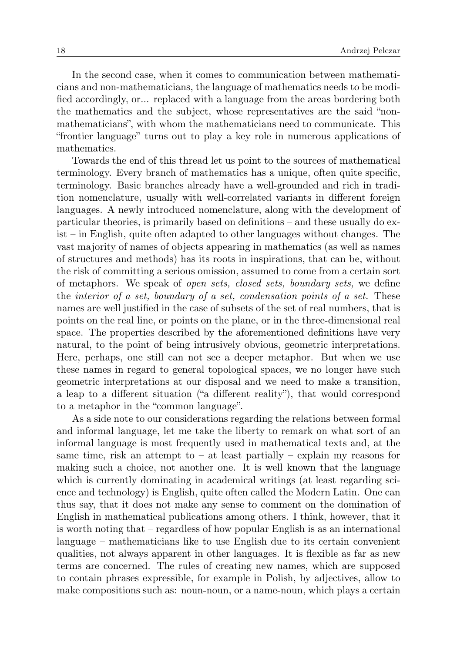In the second case, when it comes to communication between mathematicians and non-mathematicians, the language of mathematics needs to be modified accordingly, or... replaced with a language from the areas bordering both the mathematics and the subject, whose representatives are the said "nonmathematicians", with whom the mathematicians need to communicate. This "frontier language" turns out to play a key role in numerous applications of mathematics.

Towards the end of this thread let us point to the sources of mathematical terminology. Every branch of mathematics has a unique, often quite specific, terminology. Basic branches already have a well-grounded and rich in tradition nomenclature, usually with well-correlated variants in different foreign languages. A newly introduced nomenclature, along with the development of particular theories, is primarily based on definitions – and these usually do exist – in English, quite often adapted to other languages without changes. The vast majority of names of objects appearing in mathematics (as well as names of structures and methods) has its roots in inspirations, that can be, without the risk of committing a serious omission, assumed to come from a certain sort of metaphors. We speak of open sets, closed sets, boundary sets, we define the interior of a set, boundary of a set, condensation points of a set. These names are well justified in the case of subsets of the set of real numbers, that is points on the real line, or points on the plane, or in the three-dimensional real space. The properties described by the aforementioned definitions have very natural, to the point of being intrusively obvious, geometric interpretations. Here, perhaps, one still can not see a deeper metaphor. But when we use these names in regard to general topological spaces, we no longer have such geometric interpretations at our disposal and we need to make a transition, a leap to a different situation ("a different reality"), that would correspond to a metaphor in the "common language".

As a side note to our considerations regarding the relations between formal and informal language, let me take the liberty to remark on what sort of an informal language is most frequently used in mathematical texts and, at the same time, risk an attempt to  $-$  at least partially  $-$  explain my reasons for making such a choice, not another one. It is well known that the language which is currently dominating in academical writings (at least regarding science and technology) is English, quite often called the Modern Latin. One can thus say, that it does not make any sense to comment on the domination of English in mathematical publications among others. I think, however, that it is worth noting that – regardless of how popular English is as an international language – mathematicians like to use English due to its certain convenient qualities, not always apparent in other languages. It is flexible as far as new terms are concerned. The rules of creating new names, which are supposed to contain phrases expressible, for example in Polish, by adjectives, allow to make compositions such as: noun-noun, or a name-noun, which plays a certain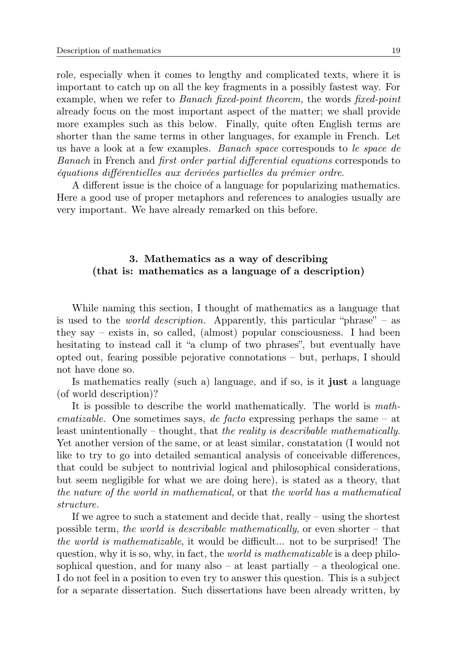role, especially when it comes to lengthy and complicated texts, where it is important to catch up on all the key fragments in a possibly fastest way. For example, when we refer to *Banach fixed-point theorem*, the words *fixed-point* already focus on the most important aspect of the matter; we shall provide more examples such as this below. Finally, quite often English terms are shorter than the same terms in other languages, for example in French. Let us have a look at a few examples. Banach space corresponds to le space de Banach in French and first order partial differential equations corresponds to équations différentielles aux derivées partielles du prémier ordre.

A different issue is the choice of a language for popularizing mathematics. Here a good use of proper metaphors and references to analogies usually are very important. We have already remarked on this before.

## 3. Mathematics as a way of describing (that is: mathematics as a language of a description)

While naming this section, I thought of mathematics as a language that is used to the *world description*. Apparently, this particular "phrase" – as they say – exists in, so called, (almost) popular consciousness. I had been hesitating to instead call it "a clump of two phrases", but eventually have opted out, fearing possible pejorative connotations – but, perhaps, I should not have done so.

Is mathematics really (such a) language, and if so, is it just a language (of world description)?

It is possible to describe the world mathematically. The world is math*ematizable.* One sometimes says, *de facto* expressing perhaps the same  $-$  at least unintentionally – thought, that the reality is describable mathematically. Yet another version of the same, or at least similar, constatation (I would not like to try to go into detailed semantical analysis of conceivable differences, that could be subject to nontrivial logical and philosophical considerations, but seem negligible for what we are doing here), is stated as a theory, that the nature of the world in mathematical, or that the world has a mathematical structure.

If we agree to such a statement and decide that, really – using the shortest possible term, the world is describable mathematically, or even shorter – that the world is mathematizable, it would be difficult... not to be surprised! The question, why it is so, why, in fact, the *world is mathematizable* is a deep philosophical question, and for many also  $-$  at least partially  $-$  a theological one. I do not feel in a position to even try to answer this question. This is a subject for a separate dissertation. Such dissertations have been already written, by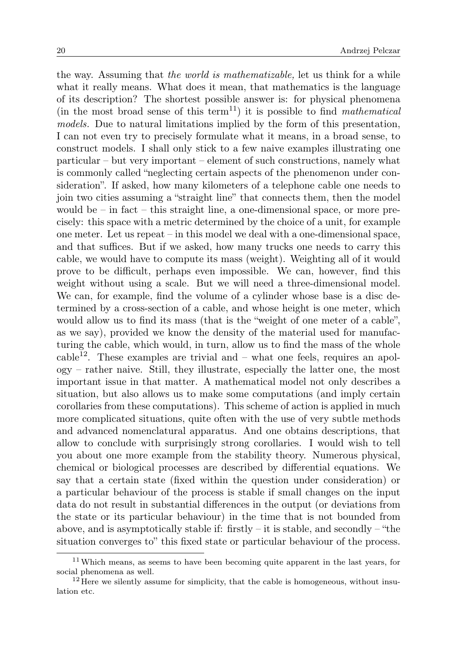the way. Assuming that the world is mathematizable, let us think for a while what it really means. What does it mean, that mathematics is the language of its description? The shortest possible answer is: for physical phenomena (in the most broad sense of this term<sup>11</sup>) it is possible to find mathematical models. Due to natural limitations implied by the form of this presentation, I can not even try to precisely formulate what it means, in a broad sense, to construct models. I shall only stick to a few naive examples illustrating one particular – but very important – element of such constructions, namely what is commonly called "neglecting certain aspects of the phenomenon under consideration". If asked, how many kilometers of a telephone cable one needs to join two cities assuming a "straight line" that connects them, then the model would be  $-$  in fact  $-$  this straight line, a one-dimensional space, or more precisely: this space with a metric determined by the choice of a unit, for example one meter. Let us repeat – in this model we deal with a one-dimensional space, and that suffices. But if we asked, how many trucks one needs to carry this cable, we would have to compute its mass (weight). Weighting all of it would prove to be difficult, perhaps even impossible. We can, however, find this weight without using a scale. But we will need a three-dimensional model. We can, for example, find the volume of a cylinder whose base is a disc determined by a cross-section of a cable, and whose height is one meter, which would allow us to find its mass (that is the "weight of one meter of a cable", as we say), provided we know the density of the material used for manufacturing the cable, which would, in turn, allow us to find the mass of the whole cable<sup>12</sup>. These examples are trivial and – what one feels, requires an apology – rather naive. Still, they illustrate, especially the latter one, the most important issue in that matter. A mathematical model not only describes a situation, but also allows us to make some computations (and imply certain corollaries from these computations). This scheme of action is applied in much more complicated situations, quite often with the use of very subtle methods and advanced nomenclatural apparatus. And one obtains descriptions, that allow to conclude with surprisingly strong corollaries. I would wish to tell you about one more example from the stability theory. Numerous physical, chemical or biological processes are described by differential equations. We say that a certain state (fixed within the question under consideration) or a particular behaviour of the process is stable if small changes on the input data do not result in substantial differences in the output (or deviations from the state or its particular behaviour) in the time that is not bounded from above, and is asymptotically stable if: firstly  $-$  it is stable, and secondly  $-$  "the situation converges to" this fixed state or particular behaviour of the process.

<sup>&</sup>lt;sup>11</sup>Which means, as seems to have been becoming quite apparent in the last years, for social phenomena as well.

 $12$  Here we silently assume for simplicity, that the cable is homogeneous, without insulation etc.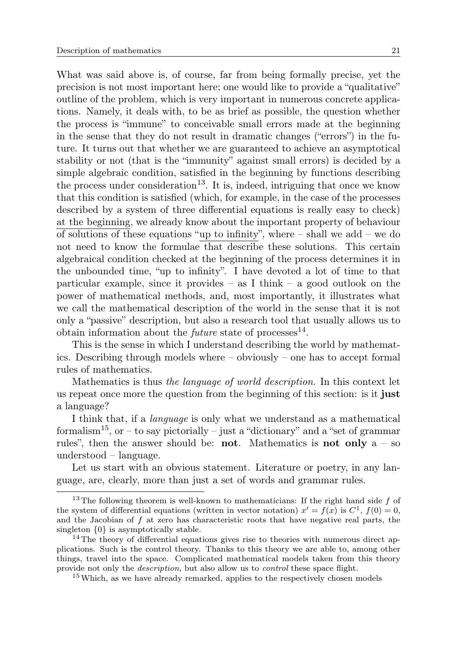What was said above is, of course, far from being formally precise, yet the precision is not most important here; one would like to provide a "qualitative" outline of the problem, which is very important in numerous concrete applications. Namely, it deals with, to be as brief as possible, the question whether the process is "immune" to conceivable small errors made at the beginning in the sense that they do not result in dramatic changes ("errors") in the future. It turns out that whether we are guaranteed to achieve an asymptotical stability or not (that is the "immunity" against small errors) is decided by a simple algebraic condition, satisfied in the beginning by functions describing the process under consideration<sup>13</sup>. It is, indeed, intriguing that once we know that this condition is satisfied (which, for example, in the case of the processes described by a system of three differential equations is really easy to check) at the beginning, we already know about the important property of behaviour of solutions of these equations "up to infinity", where  $-$  shall we add  $-$  we do not need to know the formulae that describe these solutions. This certain algebraical condition checked at the beginning of the process determines it in the unbounded time, "up to infinity". I have devoted a lot of time to that particular example, since it provides – as I think – a good outlook on the power of mathematical methods, and, most importantly, it illustrates what we call the mathematical description of the world in the sense that it is not only a "passive" description, but also a research tool that usually allows us to obtain information about the *future* state of processes<sup>14</sup>.

This is the sense in which I understand describing the world by mathematics. Describing through models where – obviously – one has to accept formal rules of mathematics.

Mathematics is thus the language of world description. In this context let us repeat once more the question from the beginning of this section: is it just a language?

I think that, if a language is only what we understand as a mathematical formalism<sup>15</sup>, or – to say pictorially – just a "dictionary" and a "set of grammar" rules", then the answer should be: not. Mathematics is not only  $a - so$ understood – language.

Let us start with an obvious statement. Literature or poetry, in any language, are, clearly, more than just a set of words and grammar rules.

<sup>&</sup>lt;sup>13</sup> The following theorem is well-known to mathematicians: If the right hand side f of the system of differential equations (written in vector notation)  $x' = f(x)$  is  $C^1$ ,  $f(0) = 0$ , and the Jacobian of f at zero has characteristic roots that have negative real parts, the singleton {0} is asymptotically stable.

 $14$  The theory of differential equations gives rise to theories with numerous direct applications. Such is the control theory. Thanks to this theory we are able to, among other things, travel into the space. Complicated mathematical models taken from this theory provide not only the description, but also allow us to control these space flight.

<sup>&</sup>lt;sup>15</sup> Which, as we have already remarked, applies to the respectively chosen models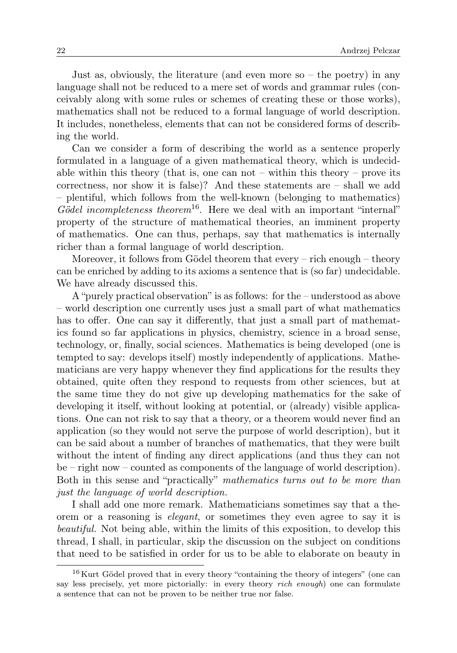Just as, obviously, the literature (and even more so  $-$  the poetry) in any language shall not be reduced to a mere set of words and grammar rules (conceivably along with some rules or schemes of creating these or those works), mathematics shall not be reduced to a formal language of world description. It includes, nonetheless, elements that can not be considered forms of describing the world.

Can we consider a form of describing the world as a sentence properly formulated in a language of a given mathematical theory, which is undecidable within this theory (that is, one can not – within this theory – prove its correctness, nor show it is false)? And these statements are – shall we add – plentiful, which follows from the well-known (belonging to mathematics) Gödel incompleteness theorem<sup>16</sup>. Here we deal with an important "internal" property of the structure of mathematical theories, an imminent property of mathematics. One can thus, perhaps, say that mathematics is internally richer than a formal language of world description.

Moreover, it follows from Gödel theorem that every – rich enough – theory can be enriched by adding to its axioms a sentence that is (so far) undecidable. We have already discussed this.

A "purely practical observation" is as follows: for the – understood as above – world description one currently uses just a small part of what mathematics has to offer. One can say it differently, that just a small part of mathematics found so far applications in physics, chemistry, science in a broad sense, technology, or, finally, social sciences. Mathematics is being developed (one is tempted to say: develops itself) mostly independently of applications. Mathematicians are very happy whenever they find applications for the results they obtained, quite often they respond to requests from other sciences, but at the same time they do not give up developing mathematics for the sake of developing it itself, without looking at potential, or (already) visible applications. One can not risk to say that a theory, or a theorem would never find an application (so they would not serve the purpose of world description), but it can be said about a number of branches of mathematics, that they were built without the intent of finding any direct applications (and thus they can not be – right now – counted as components of the language of world description). Both in this sense and "practically" mathematics turns out to be more than just the language of world description.

I shall add one more remark. Mathematicians sometimes say that a theorem or a reasoning is elegant, or sometimes they even agree to say it is beautiful. Not being able, within the limits of this exposition, to develop this thread, I shall, in particular, skip the discussion on the subject on conditions that need to be satisfied in order for us to be able to elaborate on beauty in

<sup>&</sup>lt;sup>16</sup> Kurt Gödel proved that in every theory "containing the theory of integers" (one can say less precisely, yet more pictorially: in every theory *rich enough*) one can formulate a sentence that can not be proven to be neither true nor false.